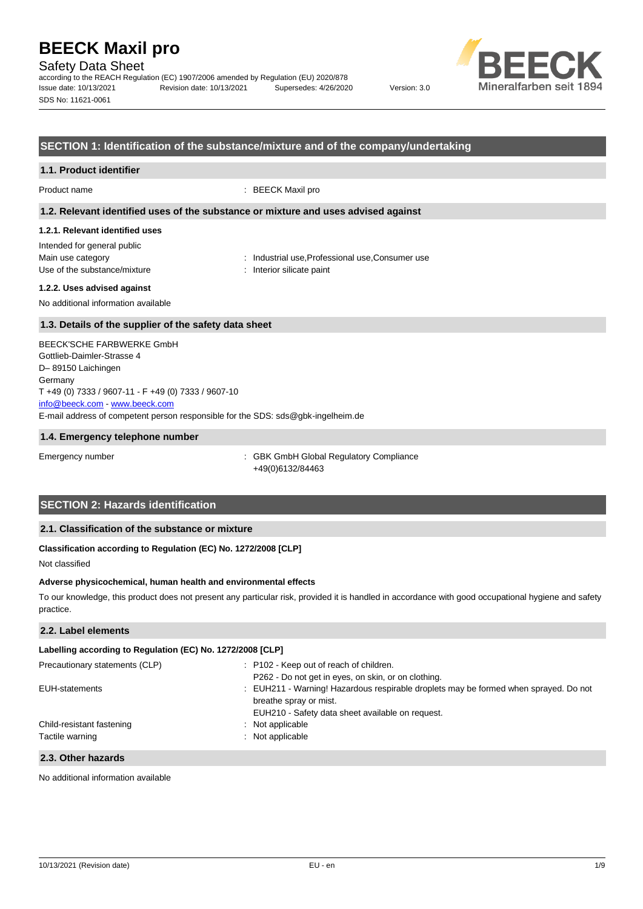Safety Data Sheet

according to the REACH Regulation (EC) 1907/2006 amended by Regulation (EU) 2020/878 Issue date: 10/13/2021 Revision date: 10/13/2021 Supersedes: 4/26/2020 Version: 3.0 SDS No: 11621-0061



## **SECTION 1: Identification of the substance/mixture and of the company/undertaking**

### **1.1. Product identifier**

Product name  $\qquad \qquad : \text{BEECK Maxil pro}$ 

### **1.2. Relevant identified uses of the substance or mixture and uses advised against**

### **1.2.1. Relevant identified uses**

Intended for general public Main use category **industrial use, Professional use, Consumer use** industrial use, Professional use, Consumer use Use of the substance/mixture interior silicate paint

### **1.2.2. Uses advised against**

No additional information available

## **1.3. Details of the supplier of the safety data sheet**

E-mail address of competent person responsible for the SDS: sds@gbk-ingelheim.de BEECK'SCHE FARBWERKE GmbH Gottlieb-Daimler-Strasse 4 D– 89150 Laichingen Germany T +49 (0) 7333 / 9607-11 - F +49 (0) 7333 / 9607-10 [info@beeck.com](mailto:info@beeck.com) - [www.beeck.com](http://www.beeck.com/)

### **1.4. Emergency telephone number**

Emergency number **Emergency** number : GBK GmbH Global Regulatory Compliance +49(0)6132/84463

## **SECTION 2: Hazards identification**

## **2.1. Classification of the substance or mixture**

## **Classification according to Regulation (EC) No. 1272/2008 [CLP]**

Not classified

### **Adverse physicochemical, human health and environmental effects**

To our knowledge, this product does not present any particular risk, provided it is handled in accordance with good occupational hygiene and safety practice.

## **2.2. Label elements**

| Labelling according to Regulation (EC) No. 1272/2008 [CLP] |                                                                                                                                                                    |
|------------------------------------------------------------|--------------------------------------------------------------------------------------------------------------------------------------------------------------------|
| Precautionary statements (CLP)                             | : P102 - Keep out of reach of children.<br>P262 - Do not get in eyes, on skin, or on clothing.                                                                     |
| EUH-statements                                             | : EUH211 - Warning! Hazardous respirable droplets may be formed when sprayed. Do not<br>breathe spray or mist.<br>EUH210 - Safety data sheet available on request. |
| Child-resistant fastening                                  | : Not applicable                                                                                                                                                   |
| Tactile warning                                            | : Not applicable                                                                                                                                                   |
| 2.3. Other hazards                                         |                                                                                                                                                                    |

#### No additional information available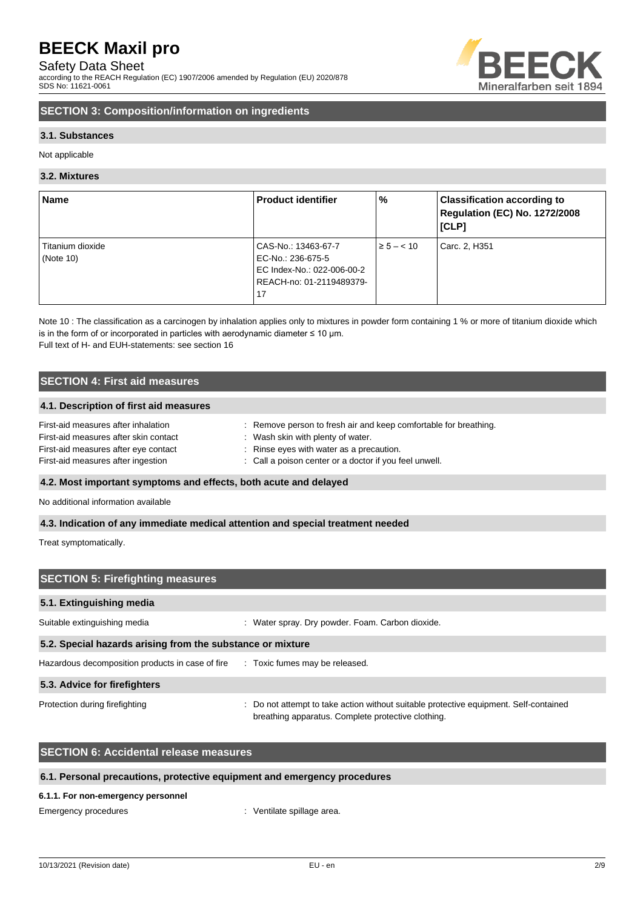Safety Data Sheet

according to the REACH Regulation (EC) 1907/2006 amended by Regulation (EU) 2020/878 SDS No: 11621-0061



## **SECTION 3: Composition/information on ingredients**

## **3.1. Substances**

Not applicable

## **3.2. Mixtures**

| <b>Name</b>      | <b>Product identifier</b>  | $\frac{9}{6}$  | <b>Classification according to</b><br><b>Regulation (EC) No. 1272/2008</b><br>[CLP] |
|------------------|----------------------------|----------------|-------------------------------------------------------------------------------------|
| Titanium dioxide | CAS-No.: 13463-67-7        | $\ge 5 - < 10$ | Carc. 2, H351                                                                       |
| (Note $10$ )     | EC-No.: 236-675-5          |                |                                                                                     |
|                  | EC Index-No.: 022-006-00-2 |                |                                                                                     |
|                  | REACH-no: 01-2119489379-   |                |                                                                                     |
|                  | 17                         |                |                                                                                     |

Note 10 : The classification as a carcinogen by inhalation applies only to mixtures in powder form containing 1 % or more of titanium dioxide which is in the form of or incorporated in particles with aerodynamic diameter  $\leq 10$  µm. Full text of H- and EUH-statements: see section 16

## **SECTION 4: First aid measures**

## **4.1. Description of first aid measures**

| First-aid measures after inhalation   | Remove person to fresh air and keep comfortable for breathing. |
|---------------------------------------|----------------------------------------------------------------|
| First-aid measures after skin contact | Wash skin with plenty of water.                                |
| First-aid measures after eye contact  | Rinse eyes with water as a precaution.                         |
| First-aid measures after ingestion    | : Call a poison center or a doctor if you feel unwell.         |

## **4.2. Most important symptoms and effects, both acute and delayed**

No additional information available

## **4.3. Indication of any immediate medical attention and special treatment needed**

Treat symptomatically.

| <b>SECTION 5: Firefighting measures</b>                                         |                                                                                                                                             |  |  |
|---------------------------------------------------------------------------------|---------------------------------------------------------------------------------------------------------------------------------------------|--|--|
| 5.1. Extinguishing media                                                        |                                                                                                                                             |  |  |
| Suitable extinguishing media                                                    | Water spray. Dry powder. Foam. Carbon dioxide.<br>÷                                                                                         |  |  |
| 5.2. Special hazards arising from the substance or mixture                      |                                                                                                                                             |  |  |
| Hazardous decomposition products in case of fire : Toxic fumes may be released. |                                                                                                                                             |  |  |
| 5.3. Advice for firefighters                                                    |                                                                                                                                             |  |  |
| Protection during firefighting                                                  | : Do not attempt to take action without suitable protective equipment. Self-contained<br>breathing apparatus. Complete protective clothing. |  |  |

## **SECTION 6: Accidental release measures**

## **6.1. Personal precautions, protective equipment and emergency procedures**

### **6.1.1. For non-emergency personnel**

Emergency procedures in the spillage area.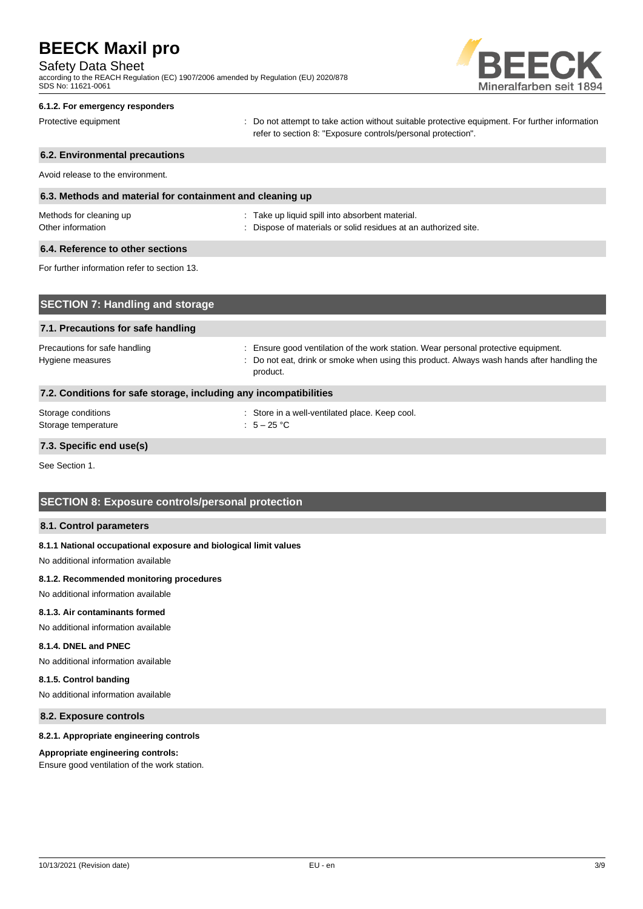## Safety Data Sheet

according to the REACH Regulation (EC) 1907/2006 amended by Regulation (EU) 2020/878 SDS No: 11621-0061



## **6.1.2. For emergency responders**

Protective equipment **interval of the CO** not attempt to take action without suitable protective equipment. For further information refer to section 8: "Exposure controls/personal protection".

## **6.2. Environmental precautions** Avoid release to the environment. **6.3. Methods and material for containment and cleaning up** Methods for cleaning up example and the state up liquid spill into absorbent material. Other information **Other information** : Dispose of materials or solid residues at an authorized site. **6.4. Reference to other sections** For further information refer to section 13. **SECTION 7. H**

| $\overline{ }$ SECTION 7. Handling and storage                    |                                                                                                                                                                                            |
|-------------------------------------------------------------------|--------------------------------------------------------------------------------------------------------------------------------------------------------------------------------------------|
| 7.1. Precautions for safe handling                                |                                                                                                                                                                                            |
| Precautions for safe handling<br>Hygiene measures                 | Ensure good ventilation of the work station. Wear personal protective equipment.<br>: Do not eat, drink or smoke when using this product. Always wash hands after handling the<br>product. |
| 7.2. Conditions for safe storage, including any incompatibilities |                                                                                                                                                                                            |
| Storage conditions<br>Storage temperature                         | : Store in a well-ventilated place. Keep cool.<br>: $5-25$ °C                                                                                                                              |

## **7.3. Specific end use(s)**

See Section 1.

## **SECTION 8: Exposure controls/personal protection**

## **8.1. Control parameters**

### **8.1.1 National occupational exposure and biological limit values**

No additional information available

### **8.1.2. Recommended monitoring procedures**

No additional information available

### **8.1.3. Air contaminants formed**

No additional information available

## **8.1.4. DNEL and PNEC**

No additional information available

## **8.1.5. Control banding**

No additional information available

## **8.2. Exposure controls**

#### **8.2.1. Appropriate engineering controls**

## **Appropriate engineering controls:**

Ensure good ventilation of the work station.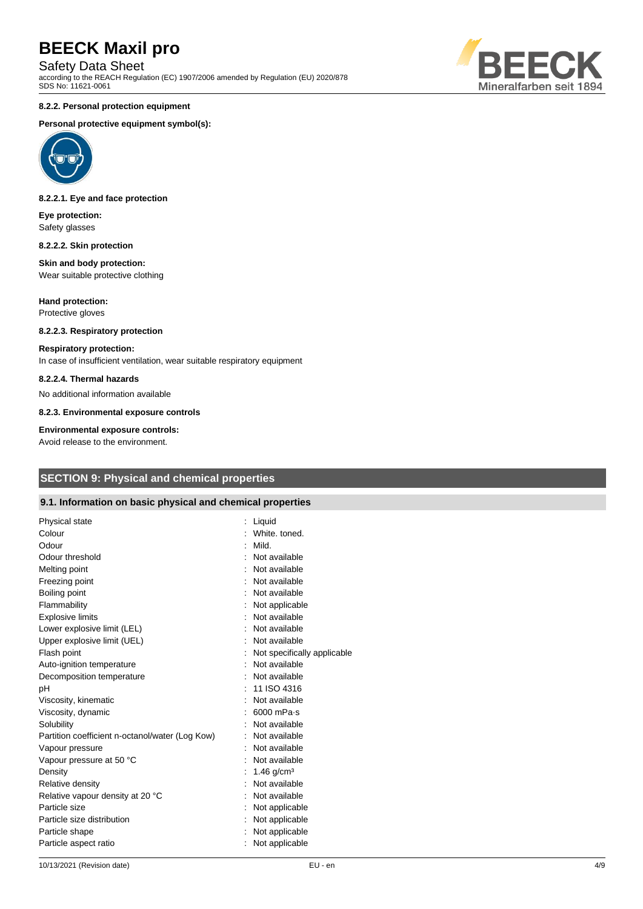Safety Data Sheet

according to the REACH Regulation (EC) 1907/2006 amended by Regulation (EU) 2020/878 SDS No: 11621-0061

## **8.2.2. Personal protection equipment**

## **Personal protective equipment symbol(s):**



### **8.2.2.1. Eye and face protection**

**Eye protection:** Safety glasses

### **8.2.2.2. Skin protection**

### **Skin and body protection:** Wear suitable protective clothing

**Hand protection:** Protective gloves

## **8.2.2.3. Respiratory protection**

## **Respiratory protection:**

In case of insufficient ventilation, wear suitable respiratory equipment

## **8.2.2.4. Thermal hazards**

No additional information available

**8.2.3. Environmental exposure controls**

### **Environmental exposure controls:**

Avoid release to the environment.

## **SECTION 9: Physical and chemical properties**

## **9.1. Information on basic physical and chemical properties**

| Physical state                                  | Liquid                      |
|-------------------------------------------------|-----------------------------|
| Colour                                          | White, toned.               |
| Odour                                           | Mild.                       |
| Odour threshold                                 | Not available               |
| Melting point                                   | Not available               |
| Freezing point                                  | Not available               |
| Boiling point                                   | : Not available             |
| Flammability                                    | Not applicable              |
| <b>Explosive limits</b>                         | : Not available             |
| Lower explosive limit (LEL)                     | : Not available             |
| Upper explosive limit (UEL)                     | Not available               |
| Flash point                                     | Not specifically applicable |
| Auto-ignition temperature                       | Not available               |
| Decomposition temperature                       | Not available               |
| рH                                              | 11 ISO 4316                 |
| Viscosity, kinematic                            | Not available               |
| Viscosity, dynamic                              | $6000$ mPa $\cdot$ s        |
| Solubility                                      | Not available               |
| Partition coefficient n-octanol/water (Log Kow) | : Not available             |
| Vapour pressure                                 | Not available               |
| Vapour pressure at 50 °C                        | Not available               |
| Density                                         | 1.46 $q/cm3$                |
| Relative density                                | Not available               |
| Relative vapour density at 20 °C                | Not available               |
| Particle size                                   | Not applicable              |
| Particle size distribution                      | Not applicable              |
| Particle shape                                  | Not applicable              |
| Particle aspect ratio                           | : Not applicable            |
|                                                 |                             |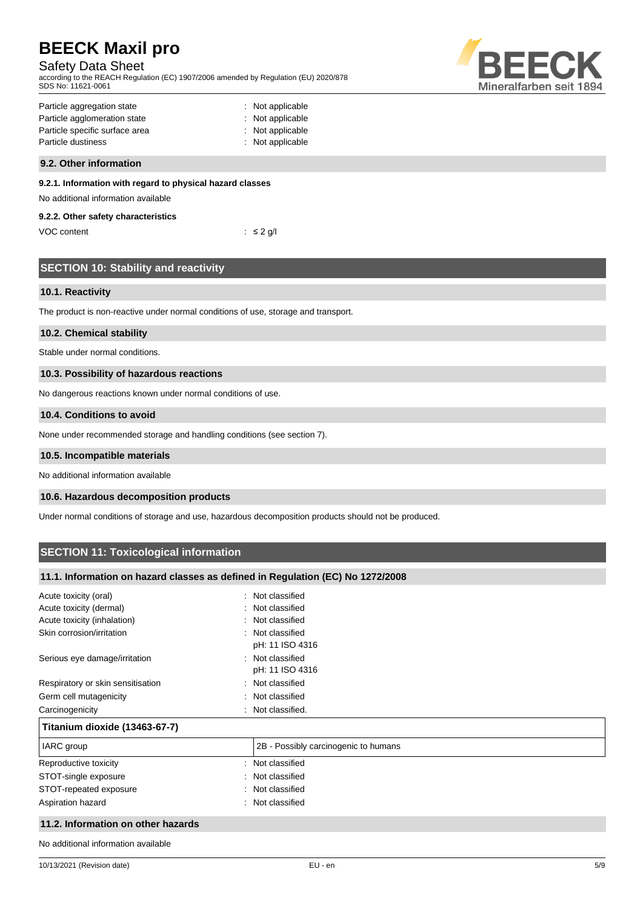## Safety Data Sheet

according to the REACH Regulation (EC) 1907/2006 amended by Regulation (EU) 2020/878 SDS No: 11621-0061



| Particle aggregation state     | : Not applicable |
|--------------------------------|------------------|
| Particle agglomeration state   | : Not applicable |
| Particle specific surface area | : Not applicable |
| Particle dustiness             | : Not applicable |
|                                |                  |

## **9.2. Other information**

## **9.2.1. Information with regard to physical hazard classes**

No additional information available

## **9.2.2. Other safety characteristics**

| VOC content | $\therefore$ $\leq$ 2 g/l |
|-------------|---------------------------|
|-------------|---------------------------|

| <b>SECTION 10: Stability and reactivity</b> |  |  |
|---------------------------------------------|--|--|
|                                             |  |  |

## **10.1. Reactivity**

The product is non-reactive under normal conditions of use, storage and transport.

## **10.2. Chemical stability**

Stable under normal conditions.

## **10.3. Possibility of hazardous reactions**

No dangerous reactions known under normal conditions of use.

### **10.4. Conditions to avoid**

None under recommended storage and handling conditions (see section 7).

## **10.5. Incompatible materials**

No additional information available

## **10.6. Hazardous decomposition products**

Under normal conditions of storage and use, hazardous decomposition products should not be produced.

## **SECTION 11: Toxicological information**

## **11.1. Information on hazard classes as defined in Regulation (EC) No 1272/2008**

| Acute toxicity (oral)              | Not classified<br>$\sim$             |
|------------------------------------|--------------------------------------|
| Acute toxicity (dermal)            | : Not classified                     |
| Acute toxicity (inhalation)        | : Not classified                     |
| Skin corrosion/irritation          | : Not classified<br>pH: 11 ISO 4316  |
| Serious eye damage/irritation      | : Not classified<br>pH: 11 ISO 4316  |
| Respiratory or skin sensitisation  | : Not classified                     |
| Germ cell mutagenicity             | Not classified<br>٠.                 |
| Carcinogenicity                    | Not classified.                      |
| Titanium dioxide (13463-67-7)      |                                      |
| IARC group                         | 2B - Possibly carcinogenic to humans |
| Reproductive toxicity              | : Not classified                     |
| STOT-single exposure               | : Not classified                     |
| STOT-repeated exposure             | : Not classified                     |
| Aspiration hazard                  | : Not classified                     |
| 11.2. Information on other hazards |                                      |

No additional information available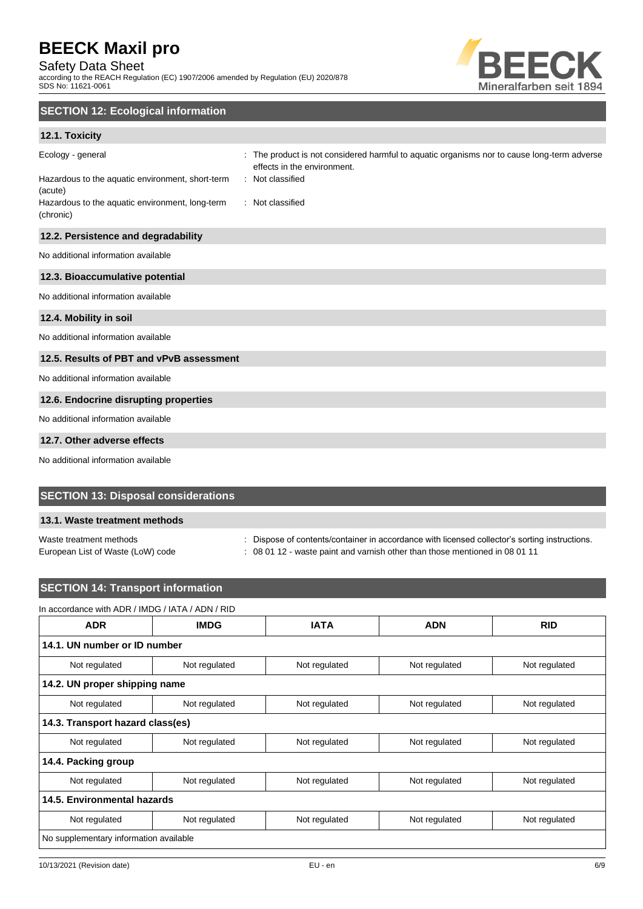Safety Data Sheet

according to the REACH Regulation (EC) 1907/2006 amended by Regulation (EU) 2020/878 SDS No: 11621-0061



## **SECTION 12: Ecological information**

## **12.1. Toxicity**

| Ecology - general<br>Hazardous to the aquatic environment, short-term<br>(acute)<br>Hazardous to the aquatic environment, long-term<br>(chronic) | : The product is not considered harmful to aquatic organisms nor to cause long-term adverse<br>effects in the environment.<br>: Not classified<br>: Not classified |
|--------------------------------------------------------------------------------------------------------------------------------------------------|--------------------------------------------------------------------------------------------------------------------------------------------------------------------|
| 12.2. Persistence and degradability                                                                                                              |                                                                                                                                                                    |
| No additional information available                                                                                                              |                                                                                                                                                                    |
| 12.3. Bioaccumulative potential                                                                                                                  |                                                                                                                                                                    |
| No additional information available                                                                                                              |                                                                                                                                                                    |
| 12.4. Mobility in soil                                                                                                                           |                                                                                                                                                                    |
| No additional information available                                                                                                              |                                                                                                                                                                    |
| 12.5. Results of PBT and vPvB assessment                                                                                                         |                                                                                                                                                                    |
| No additional information available                                                                                                              |                                                                                                                                                                    |
| 12.6. Endocrine disrupting properties                                                                                                            |                                                                                                                                                                    |
| No additional information available                                                                                                              |                                                                                                                                                                    |
| 12.7. Other adverse effects                                                                                                                      |                                                                                                                                                                    |

No additional information available

## **SECTION 13: Disposal considerations**

## **13.1. Waste treatment methods**

Waste treatment methods : Dispose of contents/container in accordance with licensed collector's sorting instructions.

European List of Waste (LoW) code : 08 01 12 - waste paint and varnish other than those mentioned in 08 01 11

## **SECTION 14: Transport information**

## In accordance with ADR / IMDG / IATA / ADN / RID

| <b>ADR</b>                             | <b>IMDG</b>                   | <b>IATA</b>   | <b>ADN</b>    | <b>RID</b>    |  |  |  |
|----------------------------------------|-------------------------------|---------------|---------------|---------------|--|--|--|
|                                        | 14.1. UN number or ID number  |               |               |               |  |  |  |
| Not regulated                          | Not regulated                 | Not regulated | Not regulated | Not regulated |  |  |  |
|                                        | 14.2. UN proper shipping name |               |               |               |  |  |  |
| Not regulated                          | Not regulated                 | Not regulated | Not regulated | Not regulated |  |  |  |
| 14.3. Transport hazard class(es)       |                               |               |               |               |  |  |  |
| Not regulated                          | Not regulated                 | Not regulated | Not regulated | Not regulated |  |  |  |
| 14.4. Packing group                    |                               |               |               |               |  |  |  |
| Not regulated                          | Not regulated                 | Not regulated | Not regulated | Not regulated |  |  |  |
| 14.5. Environmental hazards            |                               |               |               |               |  |  |  |
| Not regulated                          | Not regulated                 | Not regulated | Not regulated | Not regulated |  |  |  |
| No supplementary information available |                               |               |               |               |  |  |  |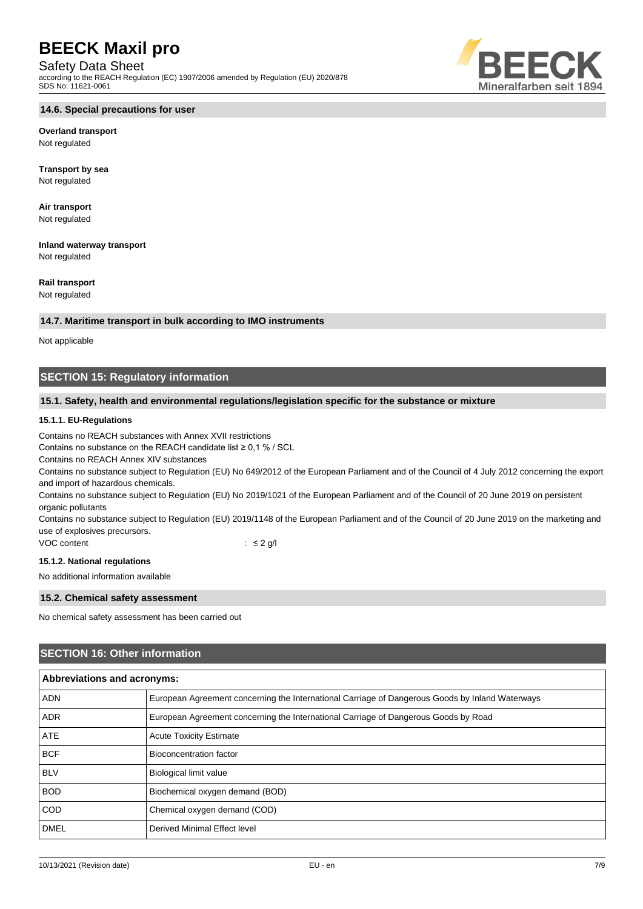## Safety Data Sheet

according to the REACH Regulation (EC) 1907/2006 amended by Regulation (EU) 2020/878 SDS No: 11621-0061



**Overland transport** Not regulated

**Transport by sea** Not regulated

**Air transport** Not regulated

**Inland waterway transport** Not regulated

**Rail transport**

Not regulated

## **14.7. Maritime transport in bulk according to IMO instruments**

Not applicable

## **SECTION 15: Regulatory information**

## **15.1. Safety, health and environmental regulations/legislation specific for the substance or mixture**

## **15.1.1. EU-Regulations**

Contains no REACH substances with Annex XVII restrictions

Contains no substance on the REACH candidate list  $\geq 0.1$  % / SCL

Contains no REACH Annex XIV substances

Contains no substance subject to Regulation (EU) No 649/2012 of the European Parliament and of the Council of 4 July 2012 concerning the export and import of hazardous chemicals.

Contains no substance subject to Regulation (EU) No 2019/1021 of the European Parliament and of the Council of 20 June 2019 on persistent organic pollutants

Contains no substance subject to Regulation (EU) 2019/1148 of the European Parliament and of the Council of 20 June 2019 on the marketing and use of explosives precursors.

VOC content : ≤ 2 g/l

## **15.1.2. National regulations**

No additional information available

## **15.2. Chemical safety assessment**

No chemical safety assessment has been carried out

## **SECTION 16: Other information**

| Abbreviations and acronyms: |                                                                                                 |  |
|-----------------------------|-------------------------------------------------------------------------------------------------|--|
| <b>ADN</b>                  | European Agreement concerning the International Carriage of Dangerous Goods by Inland Waterways |  |
| <b>ADR</b>                  | European Agreement concerning the International Carriage of Dangerous Goods by Road             |  |
| <b>ATE</b>                  | <b>Acute Toxicity Estimate</b>                                                                  |  |
| <b>BCF</b>                  | <b>Bioconcentration factor</b>                                                                  |  |
| <b>BLV</b>                  | <b>Biological limit value</b>                                                                   |  |
| <b>BOD</b>                  | Biochemical oxygen demand (BOD)                                                                 |  |
| <b>COD</b>                  | Chemical oxygen demand (COD)                                                                    |  |
| <b>DMEL</b>                 | Derived Minimal Effect level                                                                    |  |

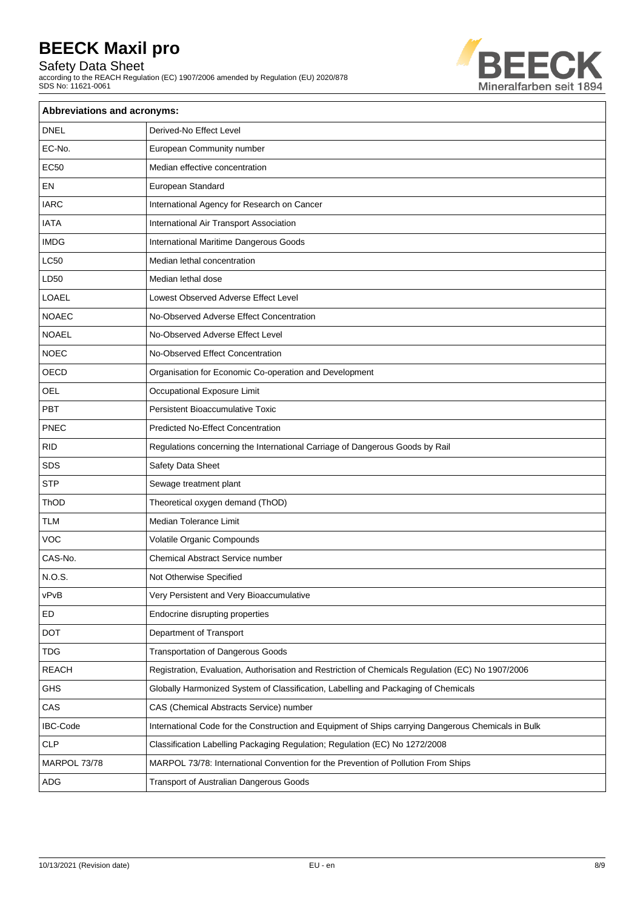Safety Data Sheet

according to the REACH Regulation (EC) 1907/2006 amended by Regulation (EU) 2020/878 SDS No: 11621-0061



| Abbreviations and acronyms: |                                                                                                     |  |
|-----------------------------|-----------------------------------------------------------------------------------------------------|--|
| <b>DNEL</b>                 | Derived-No Effect Level                                                                             |  |
| EC-No.                      | European Community number                                                                           |  |
| <b>EC50</b>                 | Median effective concentration                                                                      |  |
| EN                          | European Standard                                                                                   |  |
| <b>IARC</b>                 | International Agency for Research on Cancer                                                         |  |
| <b>IATA</b>                 | International Air Transport Association                                                             |  |
| <b>IMDG</b>                 | International Maritime Dangerous Goods                                                              |  |
| <b>LC50</b>                 | Median lethal concentration                                                                         |  |
| LD50                        | Median lethal dose                                                                                  |  |
| <b>LOAEL</b>                | Lowest Observed Adverse Effect Level                                                                |  |
| <b>NOAEC</b>                | No-Observed Adverse Effect Concentration                                                            |  |
| <b>NOAEL</b>                | No-Observed Adverse Effect Level                                                                    |  |
| <b>NOEC</b>                 | No-Observed Effect Concentration                                                                    |  |
| OECD                        | Organisation for Economic Co-operation and Development                                              |  |
| OEL                         | Occupational Exposure Limit                                                                         |  |
| PBT                         | <b>Persistent Bioaccumulative Toxic</b>                                                             |  |
| <b>PNEC</b>                 | <b>Predicted No-Effect Concentration</b>                                                            |  |
| <b>RID</b>                  | Regulations concerning the International Carriage of Dangerous Goods by Rail                        |  |
| SDS                         | Safety Data Sheet                                                                                   |  |
| <b>STP</b>                  | Sewage treatment plant                                                                              |  |
| ThOD                        | Theoretical oxygen demand (ThOD)                                                                    |  |
| <b>TLM</b>                  | Median Tolerance Limit                                                                              |  |
| <b>VOC</b>                  | Volatile Organic Compounds                                                                          |  |
| CAS-No.                     | Chemical Abstract Service number                                                                    |  |
| N.O.S.                      | Not Otherwise Specified                                                                             |  |
| vPvB                        | Very Persistent and Very Bioaccumulative                                                            |  |
| ED                          | Endocrine disrupting properties                                                                     |  |
| DOT                         | Department of Transport                                                                             |  |
| <b>TDG</b>                  | <b>Transportation of Dangerous Goods</b>                                                            |  |
| <b>REACH</b>                | Registration, Evaluation, Authorisation and Restriction of Chemicals Regulation (EC) No 1907/2006   |  |
| GHS                         | Globally Harmonized System of Classification, Labelling and Packaging of Chemicals                  |  |
| CAS                         | CAS (Chemical Abstracts Service) number                                                             |  |
| <b>IBC-Code</b>             | International Code for the Construction and Equipment of Ships carrying Dangerous Chemicals in Bulk |  |
| CLP                         | Classification Labelling Packaging Regulation; Regulation (EC) No 1272/2008                         |  |
| MARPOL 73/78                | MARPOL 73/78: International Convention for the Prevention of Pollution From Ships                   |  |
| ADG                         | Transport of Australian Dangerous Goods                                                             |  |